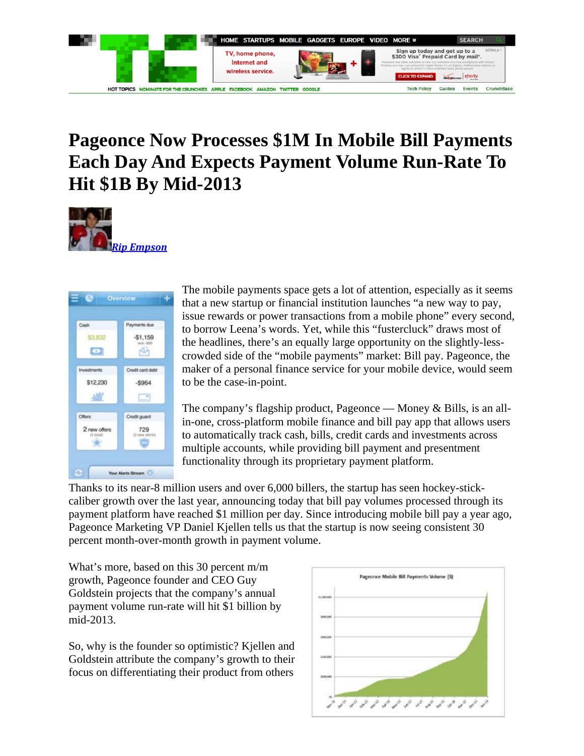

## **Pageonce Now Processes \$1M In Mobile Bill Payments Each Day And Expects Payment Volume Run-Rate To Hit \$1B By Mid-2013**





The mobile payments space gets a lot of attention, especially as it seems that a new startup or financial institution launches "a new way to pay, issue rewards or power transactions from a mobile phone" every second, to borrow Leena's words. Yet, while this "fustercluck" draws most of the headlines, there's an equally large opportunity on the slightly-lesscrowded side of the "mobile payments" market: Bill pay. Pageonce, the maker of a personal finance service for your mobile device, would seem to be the case-in-point.

The company's flagship product, Pageonce — Money & Bills, is an allin-one, cross-platform mobile finance and bill pay app that allows users to automatically track cash, bills, credit cards and investments across multiple accounts, while providing bill payment and presentment functionality through its proprietary payment platform.

Thanks to its near-8 million users and over 6,000 billers, the startup has seen hockey-stickcaliber growth over the last year, announcing today that bill pay volumes processed through its payment platform have reached \$1 million per day. Since introducing mobile bill pay a year ago, Pageonce Marketing VP Daniel Kjellen tells us that the startup is now seeing consistent 30 percent month-over-month growth in payment volume.

What's more, based on this 30 percent m/m growth, Pageonce founder and CEO Guy Goldstein projects that the company's annual payment volume run-rate will hit \$1 billion by mid-2013.

So, why is the founder so optimistic? Kjellen and Goldstein attribute the company's growth to their focus on differentiating their product from others